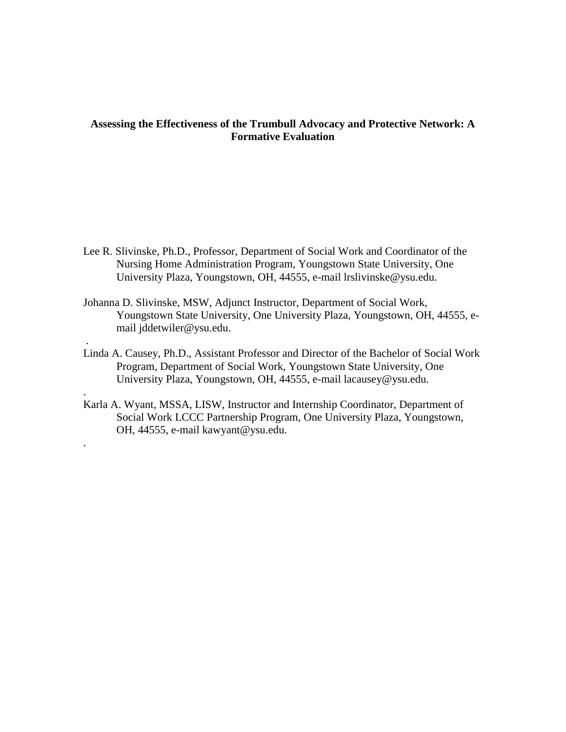# **Assessing the Effectiveness of the Trumbull Advocacy and Protective Network: A Formative Evaluation**

- Lee R. Slivinske, Ph.D., Professor, Department of Social Work and Coordinator of the Nursing Home Administration Program, Youngstown State University, One University Plaza, Youngstown, OH, 44555, e-mail lrslivinske@ysu.edu.
- Johanna D. Slivinske, MSW, Adjunct Instructor, Department of Social Work, Youngstown State University, One University Plaza, Youngstown, OH, 44555, email jddetwiler@ysu.edu.

.

.

.

- Linda A. Causey, Ph.D., Assistant Professor and Director of the Bachelor of Social Work Program, Department of Social Work, Youngstown State University, One University Plaza, Youngstown, OH, 44555, e-mail lacausey@ysu.edu.
- Karla A. Wyant, MSSA, LISW, Instructor and Internship Coordinator, Department of Social Work LCCC Partnership Program, One University Plaza, Youngstown, OH, 44555, e-mail kawyant@ysu.edu.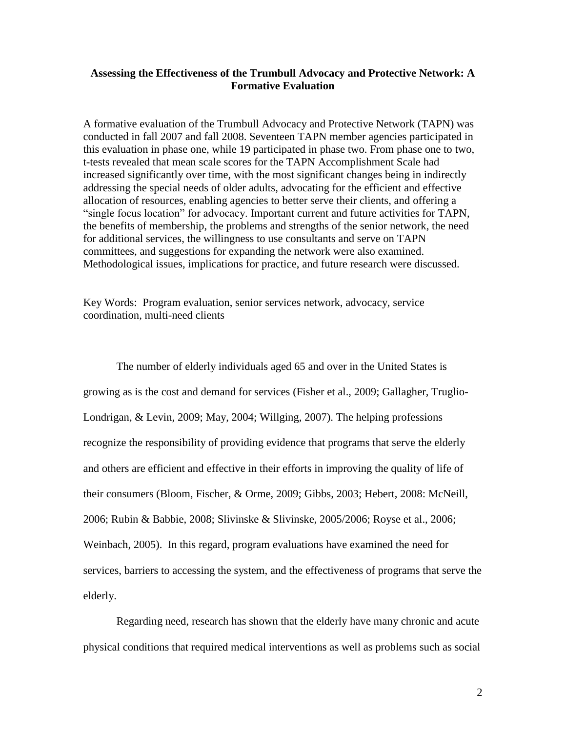# **Assessing the Effectiveness of the Trumbull Advocacy and Protective Network: A Formative Evaluation**

A formative evaluation of the Trumbull Advocacy and Protective Network (TAPN) was conducted in fall 2007 and fall 2008. Seventeen TAPN member agencies participated in this evaluation in phase one, while 19 participated in phase two. From phase one to two, t-tests revealed that mean scale scores for the TAPN Accomplishment Scale had increased significantly over time, with the most significant changes being in indirectly addressing the special needs of older adults, advocating for the efficient and effective allocation of resources, enabling agencies to better serve their clients, and offering a "single focus location" for advocacy. Important current and future activities for TAPN, the benefits of membership, the problems and strengths of the senior network, the need for additional services, the willingness to use consultants and serve on TAPN committees, and suggestions for expanding the network were also examined. Methodological issues, implications for practice, and future research were discussed.

Key Words: Program evaluation, senior services network, advocacy, service coordination, multi-need clients

The number of elderly individuals aged 65 and over in the United States is growing as is the cost and demand for services (Fisher et al., 2009; Gallagher, Truglio-Londrigan, & Levin, 2009; May, 2004; Willging, 2007). The helping professions recognize the responsibility of providing evidence that programs that serve the elderly and others are efficient and effective in their efforts in improving the quality of life of their consumers (Bloom, Fischer, & Orme, 2009; Gibbs, 2003; Hebert, 2008: McNeill, 2006; Rubin & Babbie, 2008; Slivinske & Slivinske, 2005/2006; Royse et al., 2006; Weinbach, 2005). In this regard, program evaluations have examined the need for services, barriers to accessing the system, and the effectiveness of programs that serve the elderly.

Regarding need, research has shown that the elderly have many chronic and acute physical conditions that required medical interventions as well as problems such as social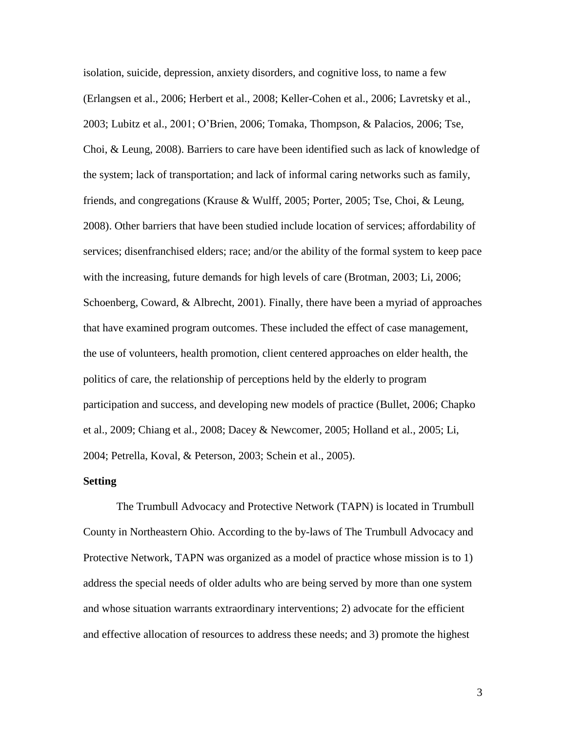isolation, suicide, depression, anxiety disorders, and cognitive loss, to name a few (Erlangsen et al., 2006; Herbert et al., 2008; Keller-Cohen et al., 2006; Lavretsky et al., 2003; Lubitz et al., 2001; O"Brien, 2006; Tomaka, Thompson, & Palacios, 2006; Tse, Choi, & Leung, 2008). Barriers to care have been identified such as lack of knowledge of the system; lack of transportation; and lack of informal caring networks such as family, friends, and congregations (Krause & Wulff, 2005; Porter, 2005; Tse, Choi, & Leung, 2008). Other barriers that have been studied include location of services; affordability of services; disenfranchised elders; race; and/or the ability of the formal system to keep pace with the increasing, future demands for high levels of care (Brotman, 2003; Li, 2006; Schoenberg, Coward, & Albrecht, 2001). Finally, there have been a myriad of approaches that have examined program outcomes. These included the effect of case management, the use of volunteers, health promotion, client centered approaches on elder health, the politics of care, the relationship of perceptions held by the elderly to program participation and success, and developing new models of practice (Bullet, 2006; Chapko et al., 2009; Chiang et al., 2008; Dacey & Newcomer, 2005; Holland et al., 2005; Li, 2004; Petrella, Koval, & Peterson, 2003; Schein et al., 2005).

## **Setting**

The Trumbull Advocacy and Protective Network (TAPN) is located in Trumbull County in Northeastern Ohio. According to the by-laws of The Trumbull Advocacy and Protective Network, TAPN was organized as a model of practice whose mission is to 1) address the special needs of older adults who are being served by more than one system and whose situation warrants extraordinary interventions; 2) advocate for the efficient and effective allocation of resources to address these needs; and 3) promote the highest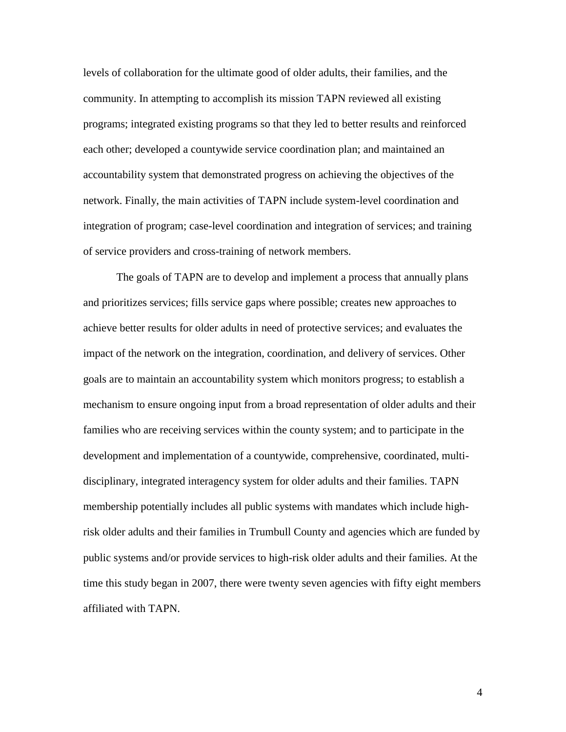levels of collaboration for the ultimate good of older adults, their families, and the community. In attempting to accomplish its mission TAPN reviewed all existing programs; integrated existing programs so that they led to better results and reinforced each other; developed a countywide service coordination plan; and maintained an accountability system that demonstrated progress on achieving the objectives of the network. Finally, the main activities of TAPN include system-level coordination and integration of program; case-level coordination and integration of services; and training of service providers and cross-training of network members.

The goals of TAPN are to develop and implement a process that annually plans and prioritizes services; fills service gaps where possible; creates new approaches to achieve better results for older adults in need of protective services; and evaluates the impact of the network on the integration, coordination, and delivery of services. Other goals are to maintain an accountability system which monitors progress; to establish a mechanism to ensure ongoing input from a broad representation of older adults and their families who are receiving services within the county system; and to participate in the development and implementation of a countywide, comprehensive, coordinated, multidisciplinary, integrated interagency system for older adults and their families. TAPN membership potentially includes all public systems with mandates which include highrisk older adults and their families in Trumbull County and agencies which are funded by public systems and/or provide services to high-risk older adults and their families. At the time this study began in 2007, there were twenty seven agencies with fifty eight members affiliated with TAPN.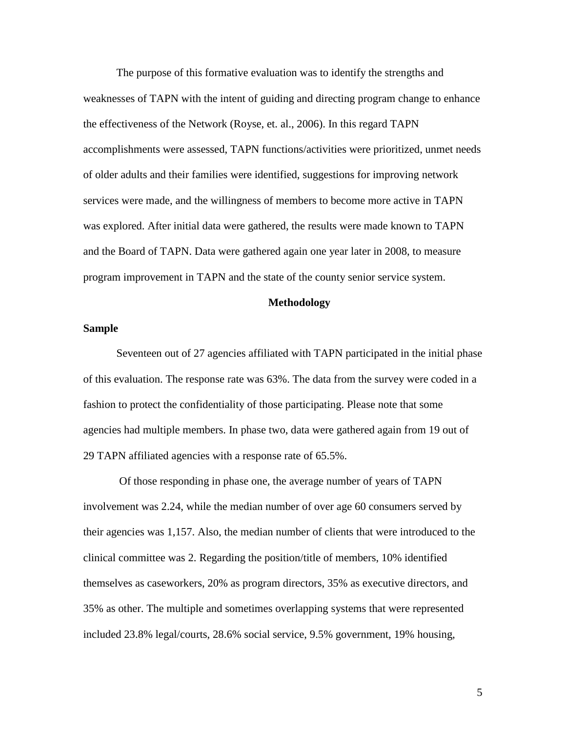The purpose of this formative evaluation was to identify the strengths and weaknesses of TAPN with the intent of guiding and directing program change to enhance the effectiveness of the Network (Royse, et. al., 2006). In this regard TAPN accomplishments were assessed, TAPN functions/activities were prioritized, unmet needs of older adults and their families were identified, suggestions for improving network services were made, and the willingness of members to become more active in TAPN was explored. After initial data were gathered, the results were made known to TAPN and the Board of TAPN. Data were gathered again one year later in 2008, to measure program improvement in TAPN and the state of the county senior service system.

## **Methodology**

## **Sample**

Seventeen out of 27 agencies affiliated with TAPN participated in the initial phase of this evaluation. The response rate was 63%. The data from the survey were coded in a fashion to protect the confidentiality of those participating. Please note that some agencies had multiple members. In phase two, data were gathered again from 19 out of 29 TAPN affiliated agencies with a response rate of 65.5%.

Of those responding in phase one, the average number of years of TAPN involvement was 2.24, while the median number of over age 60 consumers served by their agencies was 1,157. Also, the median number of clients that were introduced to the clinical committee was 2. Regarding the position/title of members, 10% identified themselves as caseworkers, 20% as program directors, 35% as executive directors, and 35% as other. The multiple and sometimes overlapping systems that were represented included 23.8% legal/courts, 28.6% social service, 9.5% government, 19% housing,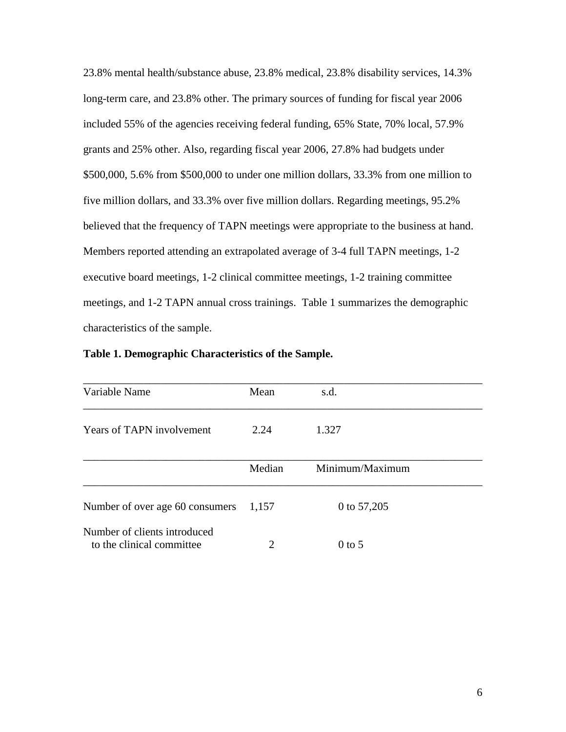23.8% mental health/substance abuse, 23.8% medical, 23.8% disability services, 14.3% long-term care, and 23.8% other. The primary sources of funding for fiscal year 2006 included 55% of the agencies receiving federal funding, 65% State, 70% local, 57.9% grants and 25% other. Also, regarding fiscal year 2006, 27.8% had budgets under \$500,000, 5.6% from \$500,000 to under one million dollars, 33.3% from one million to five million dollars, and 33.3% over five million dollars. Regarding meetings, 95.2% believed that the frequency of TAPN meetings were appropriate to the business at hand. Members reported attending an extrapolated average of 3-4 full TAPN meetings, 1-2 executive board meetings, 1-2 clinical committee meetings, 1-2 training committee meetings, and 1-2 TAPN annual cross trainings. Table 1 summarizes the demographic characteristics of the sample.

| Variable Name                                             | Mean   | s.d.            |  |
|-----------------------------------------------------------|--------|-----------------|--|
| <b>Years of TAPN involvement</b>                          | 2.24   | 1.327           |  |
|                                                           | Median | Minimum/Maximum |  |
| Number of over age 60 consumers                           | 1,157  | 0 to 57,205     |  |
| Number of clients introduced<br>to the clinical committee | 2      | $0$ to 5        |  |

| Table 1. Demographic Characteristics of the Sample. |
|-----------------------------------------------------|
|-----------------------------------------------------|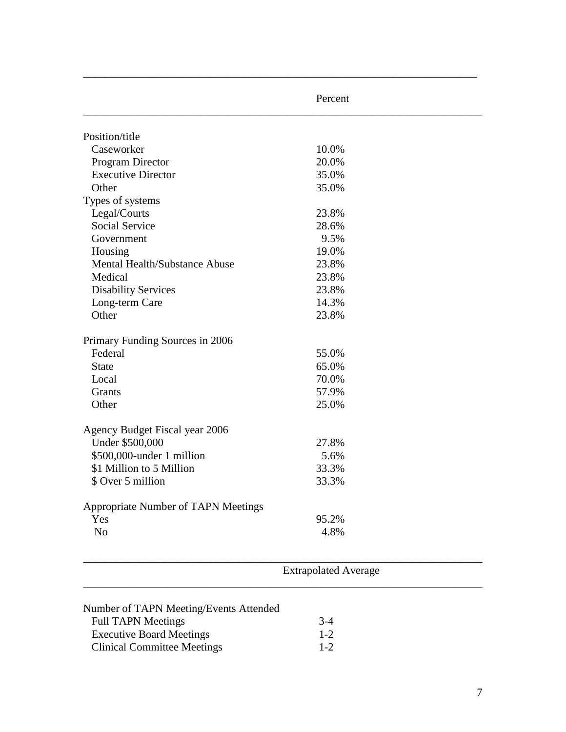|                                     | Percent |  |
|-------------------------------------|---------|--|
| Position/title                      |         |  |
| Caseworker                          | 10.0%   |  |
| Program Director                    | 20.0%   |  |
| <b>Executive Director</b>           | 35.0%   |  |
| Other                               | 35.0%   |  |
| Types of systems                    |         |  |
| Legal/Courts                        | 23.8%   |  |
| Social Service                      | 28.6%   |  |
| Government                          | 9.5%    |  |
| Housing                             | 19.0%   |  |
| Mental Health/Substance Abuse       | 23.8%   |  |
| Medical                             | 23.8%   |  |
| <b>Disability Services</b>          | 23.8%   |  |
| Long-term Care                      | 14.3%   |  |
| Other                               | 23.8%   |  |
| Primary Funding Sources in 2006     |         |  |
| Federal                             | 55.0%   |  |
| <b>State</b>                        | 65.0%   |  |
| Local                               | 70.0%   |  |
| Grants                              | 57.9%   |  |
| Other                               | 25.0%   |  |
| Agency Budget Fiscal year 2006      |         |  |
| Under \$500,000                     | 27.8%   |  |
| \$500,000-under 1 million           | 5.6%    |  |
| \$1 Million to 5 Million            | 33.3%   |  |
| \$ Over 5 million                   | 33.3%   |  |
| Appropriate Number of TAPN Meetings |         |  |
| Yes                                 | 95.2%   |  |
| No                                  | 4.8%    |  |

\_\_\_\_\_\_\_\_\_\_\_\_\_\_\_\_\_\_\_\_\_\_\_\_\_\_\_\_\_\_\_\_\_\_\_\_\_\_\_\_\_\_\_\_\_\_\_\_\_\_\_\_\_\_\_\_\_\_\_\_\_\_\_\_\_\_\_\_\_\_\_\_

| Number of TAPN Meeting/Events Attended |         |
|----------------------------------------|---------|
| <b>Full TAPN Meetings</b>              | $3-4$   |
| <b>Executive Board Meetings</b>        | $1 - 2$ |
| <b>Clinical Committee Meetings</b>     | $1 - 2$ |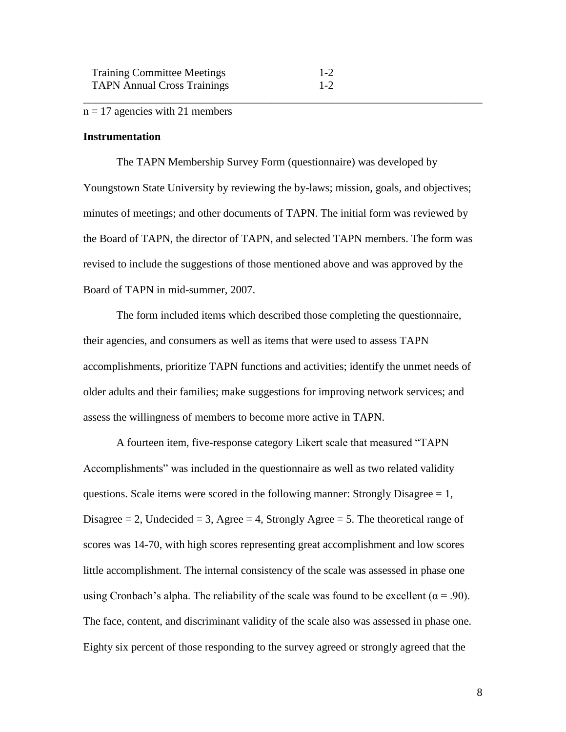## $n = 17$  agencies with 21 members

## **Instrumentation**

The TAPN Membership Survey Form (questionnaire) was developed by Youngstown State University by reviewing the by-laws; mission, goals, and objectives; minutes of meetings; and other documents of TAPN. The initial form was reviewed by the Board of TAPN, the director of TAPN, and selected TAPN members. The form was revised to include the suggestions of those mentioned above and was approved by the Board of TAPN in mid-summer, 2007.

\_\_\_\_\_\_\_\_\_\_\_\_\_\_\_\_\_\_\_\_\_\_\_\_\_\_\_\_\_\_\_\_\_\_\_\_\_\_\_\_\_\_\_\_\_\_\_\_\_\_\_\_\_\_\_\_\_\_\_\_\_\_\_\_\_\_\_\_\_\_\_\_

The form included items which described those completing the questionnaire, their agencies, and consumers as well as items that were used to assess TAPN accomplishments, prioritize TAPN functions and activities; identify the unmet needs of older adults and their families; make suggestions for improving network services; and assess the willingness of members to become more active in TAPN.

A fourteen item, five-response category Likert scale that measured "TAPN Accomplishments" was included in the questionnaire as well as two related validity questions. Scale items were scored in the following manner: Strongly Disagree  $= 1$ , Disagree  $= 2$ , Undecided  $= 3$ , Agree  $= 4$ , Strongly Agree  $= 5$ . The theoretical range of scores was 14-70, with high scores representing great accomplishment and low scores little accomplishment. The internal consistency of the scale was assessed in phase one using Cronbach's alpha. The reliability of the scale was found to be excellent ( $\alpha$  = .90). The face, content, and discriminant validity of the scale also was assessed in phase one. Eighty six percent of those responding to the survey agreed or strongly agreed that the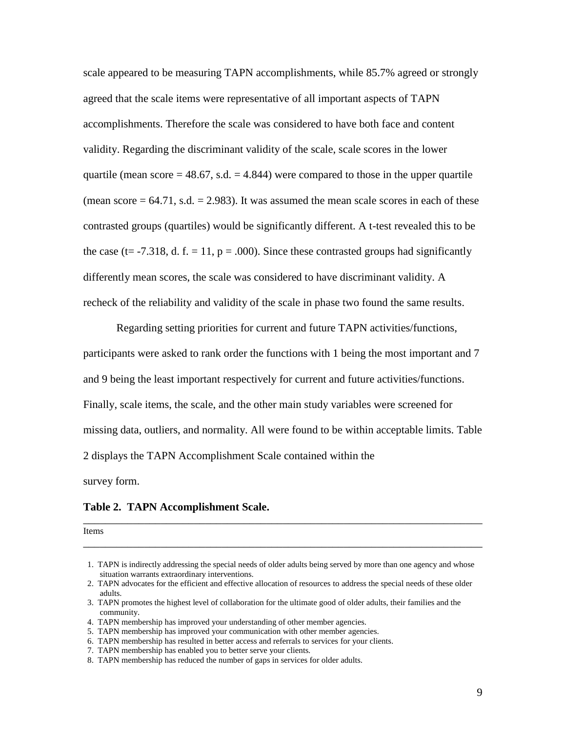scale appeared to be measuring TAPN accomplishments, while 85.7% agreed or strongly agreed that the scale items were representative of all important aspects of TAPN accomplishments. Therefore the scale was considered to have both face and content validity. Regarding the discriminant validity of the scale, scale scores in the lower quartile (mean score  $= 48.67$ , s.d.  $= 4.844$ ) were compared to those in the upper quartile (mean score  $= 64.71$ , s.d.  $= 2.983$ ). It was assumed the mean scale scores in each of these contrasted groups (quartiles) would be significantly different. A t-test revealed this to be the case (t= -7.318, d. f. = 11,  $p = .000$ ). Since these contrasted groups had significantly differently mean scores, the scale was considered to have discriminant validity. A recheck of the reliability and validity of the scale in phase two found the same results.

Regarding setting priorities for current and future TAPN activities/functions, participants were asked to rank order the functions with 1 being the most important and 7 and 9 being the least important respectively for current and future activities/functions. Finally, scale items, the scale, and the other main study variables were screened for missing data, outliers, and normality. All were found to be within acceptable limits. Table 2 displays the TAPN Accomplishment Scale contained within the survey form.

#### **Table 2. TAPN Accomplishment Scale.**

Items **Internal Contract Contract Contract Contract Contract Contract Contract Contract Contract Contract Contract Contract Contract Contract Contract Contract Contract Contract Contract Contract Contract Contract Contract** 

\_\_\_\_\_\_\_\_\_\_\_\_\_\_\_\_\_\_\_\_\_\_\_\_\_\_\_\_\_\_\_\_\_\_\_\_\_\_\_\_\_\_\_\_\_\_\_\_\_\_\_\_\_\_\_\_\_\_\_\_\_\_\_\_\_\_\_\_\_\_\_\_

\_\_\_\_\_\_\_\_\_\_\_\_\_\_\_\_\_\_\_\_\_\_\_\_\_\_\_\_\_\_\_\_\_\_\_\_\_\_\_\_\_\_\_\_\_\_\_\_\_\_\_\_\_\_\_\_\_\_\_\_\_\_\_\_\_\_\_\_\_\_\_\_

 <sup>1.</sup> TAPN is indirectly addressing the special needs of older adults being served by more than one agency and whose situation warrants extraordinary interventions.

 <sup>2.</sup> TAPN advocates for the efficient and effective allocation of resources to address the special needs of these older adults.

 <sup>3.</sup> TAPN promotes the highest level of collaboration for the ultimate good of older adults, their families and the community.

 <sup>4.</sup> TAPN membership has improved your understanding of other member agencies.

 <sup>5.</sup> TAPN membership has improved your communication with other member agencies.

 <sup>6.</sup> TAPN membership has resulted in better access and referrals to services for your clients.

 <sup>7.</sup> TAPN membership has enabled you to better serve your clients.

 <sup>8.</sup> TAPN membership has reduced the number of gaps in services for older adults.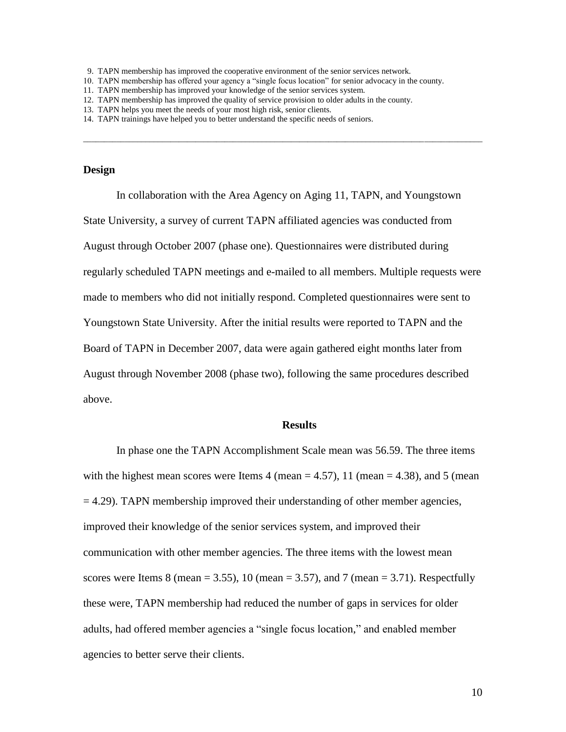10. TAPN membership has offered your agency a "single focus location" for senior advocacy in the county.

 $\Box$ 

- 12. TAPN membership has improved the quality of service provision to older adults in the county.
- 13. TAPN helps you meet the needs of your most high risk, senior clients.
- 14. TAPN trainings have helped you to better understand the specific needs of seniors.

# **Design**

In collaboration with the Area Agency on Aging 11, TAPN, and Youngstown State University, a survey of current TAPN affiliated agencies was conducted from August through October 2007 (phase one). Questionnaires were distributed during regularly scheduled TAPN meetings and e-mailed to all members. Multiple requests were made to members who did not initially respond. Completed questionnaires were sent to Youngstown State University. After the initial results were reported to TAPN and the Board of TAPN in December 2007, data were again gathered eight months later from August through November 2008 (phase two), following the same procedures described above.

#### **Results**

In phase one the TAPN Accomplishment Scale mean was 56.59. The three items with the highest mean scores were Items 4 (mean  $=$  4.57), 11 (mean  $=$  4.38), and 5 (mean  $=$  4.29). TAPN membership improved their understanding of other member agencies, improved their knowledge of the senior services system, and improved their communication with other member agencies. The three items with the lowest mean scores were Items 8 (mean  $= 3.55$ ), 10 (mean  $= 3.57$ ), and 7 (mean  $= 3.71$ ). Respectfully these were, TAPN membership had reduced the number of gaps in services for older adults, had offered member agencies a "single focus location," and enabled member agencies to better serve their clients.

 <sup>9.</sup> TAPN membership has improved the cooperative environment of the senior services network.

<sup>11.</sup> TAPN membership has improved your knowledge of the senior services system.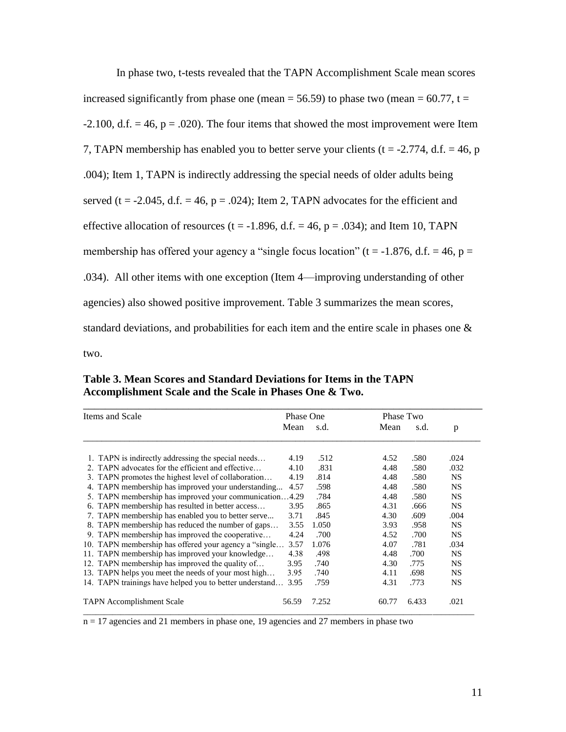| In phase two, t-tests revealed that the TAPN Accomplishment Scale mean scores                  |
|------------------------------------------------------------------------------------------------|
| increased significantly from phase one (mean = 56.59) to phase two (mean = 60.77, t =          |
| -2.100, d.f. $= 46$ , $p = .020$ ). The four items that showed the most improvement were Item  |
| 7, TAPN membership has enabled you to better serve your clients ( $t = -2.774$ , d.f. = 46, p  |
| .004); Item 1, TAPN is indirectly addressing the special needs of older adults being           |
| served ( $t = -2.045$ , d.f. = 46, $p = .024$ ); Item 2, TAPN advocates for the efficient and  |
| effective allocation of resources ( $t = -1.896$ , d.f. = 46, $p = .034$ ); and Item 10, TAPN  |
| membership has offered your agency a "single focus location" ( $t = -1.876$ , d.f. = 46, $p =$ |
| .034). All other items with one exception (Item 4—improving understanding of other             |
| agencies) also showed positive improvement. Table 3 summarizes the mean scores,                |
| standard deviations, and probabilities for each item and the entire scale in phases one $\&$   |
| two.                                                                                           |

**Table 3. Mean Scores and Standard Deviations for Items in the TAPN Accomplishment Scale and the Scale in Phases One & Two.**

| Items and Scale |                                                         | <b>Phase One</b> |       |       | Phase Two |           |
|-----------------|---------------------------------------------------------|------------------|-------|-------|-----------|-----------|
|                 |                                                         | Mean             | s.d.  | Mean  | s.d.      | p         |
|                 | 1. TAPN is indirectly addressing the special needs      | 4.19             | .512  | 4.52  | .580      | .024      |
|                 | 2. TAPN advocates for the efficient and effective       | 4.10             | .831  | 4.48  | .580      | .032      |
|                 | 3. TAPN promotes the highest level of collaboration     | 4.19             | .814  | 4.48  | .580      | <b>NS</b> |
|                 | 4. TAPN membership has improved your understanding      | 4.57             | .598  | 4.48  | .580      | <b>NS</b> |
|                 | 5. TAPN membership has improved your communication4.29  |                  | .784  | 4.48  | .580      | <b>NS</b> |
|                 | 6. TAPN membership has resulted in better access        | 3.95             | .865  | 4.31  | .666      | <b>NS</b> |
|                 | 7. TAPN membership has enabled you to better serve      | 3.71             | .845  | 4.30  | .609      | .004      |
|                 | 8. TAPN membership has reduced the number of gaps       | 3.55             | 1.050 | 3.93  | .958      | <b>NS</b> |
|                 | 9. TAPN membership has improved the cooperative         | 4.24             | .700  | 4.52  | .700      | <b>NS</b> |
|                 | 10. TAPN membership has offered your agency a "single   | 3.57             | 1.076 | 4.07  | .781      | .034      |
|                 | 11. TAPN membership has improved your knowledge         | 4.38             | .498  | 4.48  | .700      | <b>NS</b> |
|                 | 12. TAPN membership has improved the quality of         | 3.95             | .740  | 4.30  | .775      | <b>NS</b> |
|                 | 13. TAPN helps you meet the needs of your most high     | 3.95             | .740  | 4.11  | .698      | <b>NS</b> |
|                 | 14. TAPN trainings have helped you to better understand | 3.95             | .759  | 4.31  | .773      | <b>NS</b> |
|                 | <b>TAPN</b> Accomplishment Scale                        | 56.59            | 7.252 | 60.77 | 6.433     | .021      |

n = 17 agencies and 21 members in phase one, 19 agencies and 27 members in phase two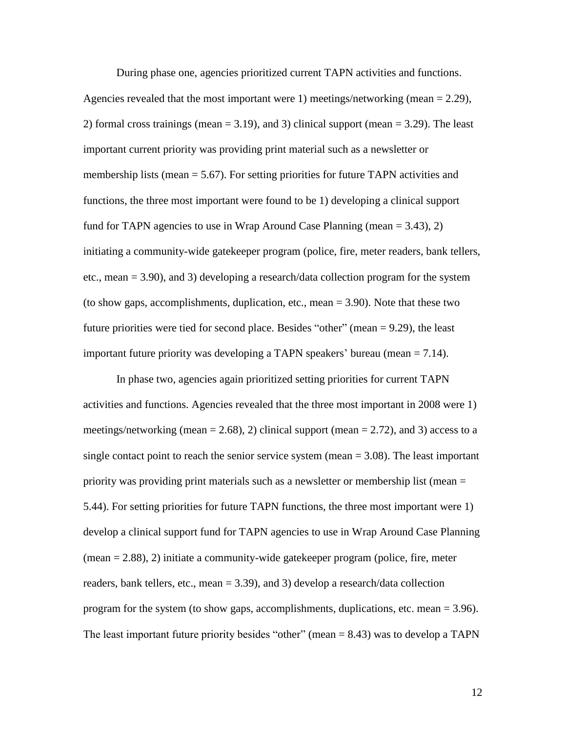During phase one, agencies prioritized current TAPN activities and functions. Agencies revealed that the most important were 1) meetings/networking (mean = 2.29), 2) formal cross trainings (mean  $= 3.19$ ), and 3) clinical support (mean  $= 3.29$ ). The least important current priority was providing print material such as a newsletter or membership lists (mean  $= 5.67$ ). For setting priorities for future TAPN activities and functions, the three most important were found to be 1) developing a clinical support fund for TAPN agencies to use in Wrap Around Case Planning (mean = 3.43), 2) initiating a community-wide gatekeeper program (police, fire, meter readers, bank tellers, etc., mean = 3.90), and 3) developing a research/data collection program for the system (to show gaps, accomplishments, duplication, etc., mean = 3.90). Note that these two future priorities were tied for second place. Besides "other" (mean = 9.29), the least important future priority was developing a TAPN speakers' bureau (mean  $= 7.14$ ).

In phase two, agencies again prioritized setting priorities for current TAPN activities and functions. Agencies revealed that the three most important in 2008 were 1) meetings/networking (mean  $= 2.68$ ), 2) clinical support (mean  $= 2.72$ ), and 3) access to a single contact point to reach the senior service system (mean  $= 3.08$ ). The least important priority was providing print materials such as a newsletter or membership list (mean = 5.44). For setting priorities for future TAPN functions, the three most important were 1) develop a clinical support fund for TAPN agencies to use in Wrap Around Case Planning (mean = 2.88), 2) initiate a community-wide gatekeeper program (police, fire, meter readers, bank tellers, etc., mean = 3.39), and 3) develop a research/data collection program for the system (to show gaps, accomplishments, duplications, etc. mean = 3.96). The least important future priority besides "other" (mean  $= 8.43$ ) was to develop a TAPN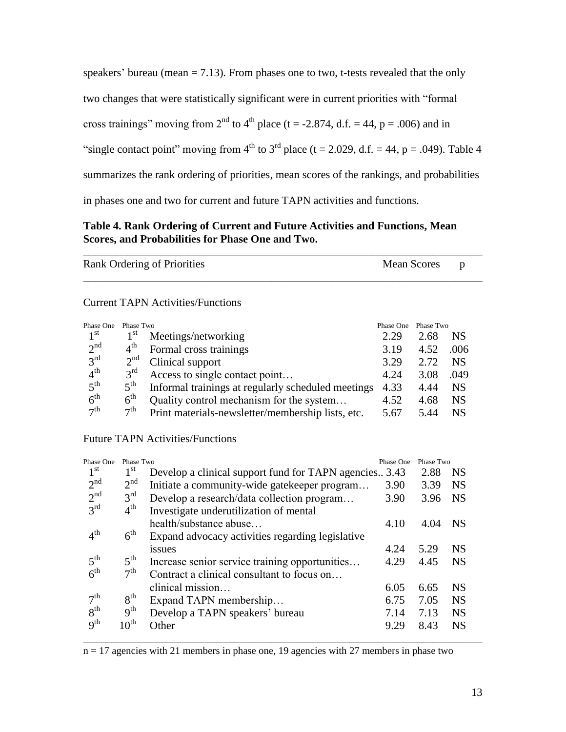speakers' bureau (mean  $= 7.13$ ). From phases one to two, t-tests revealed that the only two changes that were statistically significant were in current priorities with "formal cross trainings" moving from  $2<sup>nd</sup>$  to  $4<sup>th</sup>$  place (t = -2.874, d.f. = 44, p = .006) and in "single contact point" moving from  $4<sup>th</sup>$  to  $3<sup>rd</sup>$  place (t = 2.029, d.f. = 44, p = .049). Table 4 summarizes the rank ordering of priorities, mean scores of the rankings, and probabilities in phases one and two for current and future TAPN activities and functions.

# **Table 4. Rank Ordering of Current and Future Activities and Functions, Mean Scores, and Probabilities for Phase One and Two.**

| Mean Scores | $\mathbf{D}$ |  |
|-------------|--------------|--|
|             |              |  |
|             |              |  |

| Phase One       | Phase Two       |                                                    | Phase One | Phase Two |           |
|-----------------|-----------------|----------------------------------------------------|-----------|-----------|-----------|
| 1 <sup>st</sup> | $1^{\rm{st}}$   | Meetings/networking                                | 2.29      | 2.68      | <b>NS</b> |
| 2 <sup>nd</sup> | $4^{\text{th}}$ | Formal cross trainings                             | 3.19      | 4.52      | .006      |
| $3^{\text{rd}}$ | 2 <sup>nd</sup> | Clinical support                                   | 3.29      | 2.72      | <b>NS</b> |
| 4 <sup>th</sup> | $3^{\text{rd}}$ | Access to single contact point                     | 4.24      | 3.08      | .049      |
| 5 <sup>th</sup> | $5^{\text{th}}$ | Informal trainings at regularly scheduled meetings | 4.33      | 4.44      | <b>NS</b> |
| 6 <sup>th</sup> | $6^{\text{th}}$ | Quality control mechanism for the system           | 4.52      | 4.68      | <b>NS</b> |
| $\neg$ th       | 7 <sup>th</sup> | Print materials-newsletter/membership lists, etc.  | 5.67      | 5.44      | NS        |

Future TAPN Activities/Functions

| Phase One       | Phase Two        |                                                       | Phase One | Phase Two |           |
|-----------------|------------------|-------------------------------------------------------|-----------|-----------|-----------|
| $1^{\rm st}$    | 1 <sup>st</sup>  | Develop a clinical support fund for TAPN agencies3.43 |           | 2.88      | <b>NS</b> |
| 2 <sup>nd</sup> | 2 <sup>nd</sup>  | Initiate a community-wide gatekeeper program          | 3.90      | 3.39      | <b>NS</b> |
| 2 <sup>nd</sup> | $3^{\text{rd}}$  | Develop a research/data collection program            | 3.90      | 3.96      | <b>NS</b> |
| $3^{\text{rd}}$ | $4^{\text{th}}$  | Investigate underutilization of mental                |           |           |           |
|                 |                  | health/substance abuse                                | 4.10      | 4.04      | <b>NS</b> |
| 4 <sup>th</sup> | $6^{\text{th}}$  | Expand advocacy activities regarding legislative      |           |           |           |
|                 |                  | issues                                                | 4.24      | 5.29      | <b>NS</b> |
| 5 <sup>th</sup> | $5^{\text{th}}$  | Increase senior service training opportunities        | 4.29      | 4.45      | <b>NS</b> |
| 6 <sup>th</sup> | $\neg$ th        | Contract a clinical consultant to focus on            |           |           |           |
|                 |                  | clinical mission                                      | 6.05      | 6.65      | <b>NS</b> |
| 7 <sup>th</sup> | 8 <sup>th</sup>  | Expand TAPN membership                                | 6.75      | 7.05      | <b>NS</b> |
| 8 <sup>th</sup> | 9 <sup>th</sup>  | Develop a TAPN speakers' bureau                       | 7.14      | 7.13      | <b>NS</b> |
| 9 <sup>th</sup> | $10^{\text{th}}$ | Other                                                 | 9.29      | 8.43      | <b>NS</b> |
|                 |                  |                                                       |           |           |           |

 $n = 17$  agencies with 21 members in phase one, 19 agencies with 27 members in phase two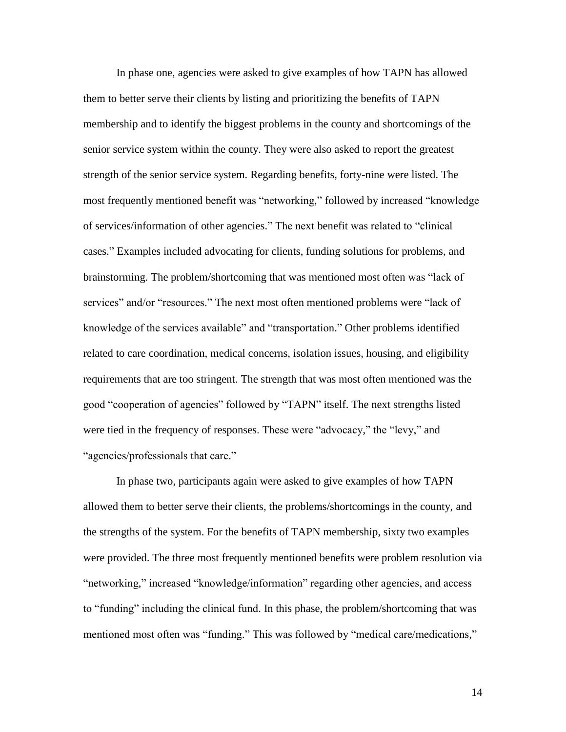In phase one, agencies were asked to give examples of how TAPN has allowed them to better serve their clients by listing and prioritizing the benefits of TAPN membership and to identify the biggest problems in the county and shortcomings of the senior service system within the county. They were also asked to report the greatest strength of the senior service system. Regarding benefits, forty-nine were listed. The most frequently mentioned benefit was "networking," followed by increased "knowledge of services/information of other agencies." The next benefit was related to "clinical cases." Examples included advocating for clients, funding solutions for problems, and brainstorming. The problem/shortcoming that was mentioned most often was "lack of services" and/or "resources." The next most often mentioned problems were "lack of knowledge of the services available" and "transportation." Other problems identified related to care coordination, medical concerns, isolation issues, housing, and eligibility requirements that are too stringent. The strength that was most often mentioned was the good "cooperation of agencies" followed by "TAPN" itself. The next strengths listed were tied in the frequency of responses. These were "advocacy," the "levy," and "agencies/professionals that care."

In phase two, participants again were asked to give examples of how TAPN allowed them to better serve their clients, the problems/shortcomings in the county, and the strengths of the system. For the benefits of TAPN membership, sixty two examples were provided. The three most frequently mentioned benefits were problem resolution via "networking," increased "knowledge/information" regarding other agencies, and access to "funding" including the clinical fund. In this phase, the problem/shortcoming that was mentioned most often was "funding." This was followed by "medical care/medications,"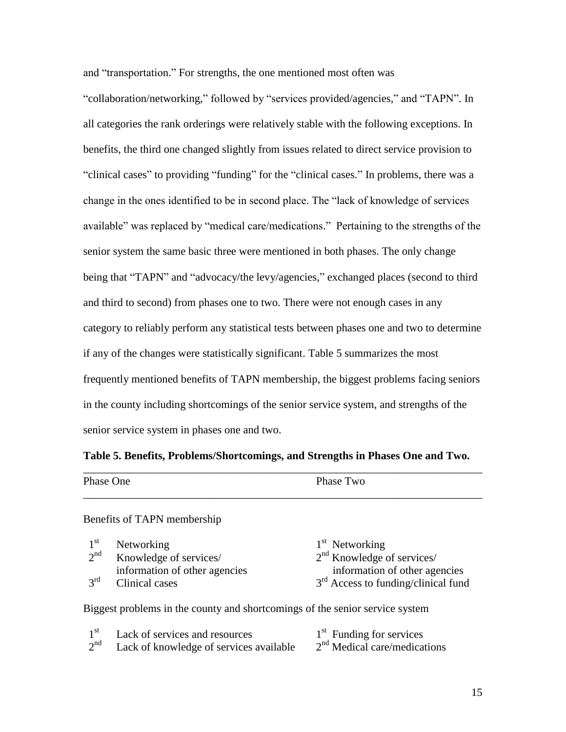and "transportation." For strengths, the one mentioned most often was

"collaboration/networking," followed by "services provided/agencies," and "TAPN". In all categories the rank orderings were relatively stable with the following exceptions. In benefits, the third one changed slightly from issues related to direct service provision to "clinical cases" to providing "funding" for the "clinical cases." In problems, there was a change in the ones identified to be in second place. The "lack of knowledge of services available" was replaced by "medical care/medications." Pertaining to the strengths of the senior system the same basic three were mentioned in both phases. The only change being that "TAPN" and "advocacy/the levy/agencies," exchanged places (second to third and third to second) from phases one to two. There were not enough cases in any category to reliably perform any statistical tests between phases one and two to determine if any of the changes were statistically significant. Table 5 summarizes the most frequently mentioned benefits of TAPN membership, the biggest problems facing seniors in the county including shortcomings of the senior service system, and strengths of the senior service system in phases one and two.

# **Table 5. Benefits, Problems/Shortcomings, and Strengths in Phases One and Two.**

| Phase One | Phase Two |
|-----------|-----------|
|           |           |

# Benefits of TAPN membership

| $1^{\rm st}$    | Networking                    | $1st$ Networking                      |
|-----------------|-------------------------------|---------------------------------------|
| 2 <sup>nd</sup> | Knowledge of services/        | $2nd$ Knowledge of services/          |
|                 | information of other agencies | information of other agencies         |
| $3^{\text{rd}}$ | Clinical cases                | $3rd$ Access to funding/clinical fund |

Biggest problems in the county and shortcomings of the senior service system

| 1 St            | Lack of services and resources          | $1st$ Funding for services     |
|-----------------|-----------------------------------------|--------------------------------|
| 2 <sup>nd</sup> | Lack of knowledge of services available | $2nd$ Medical care/medications |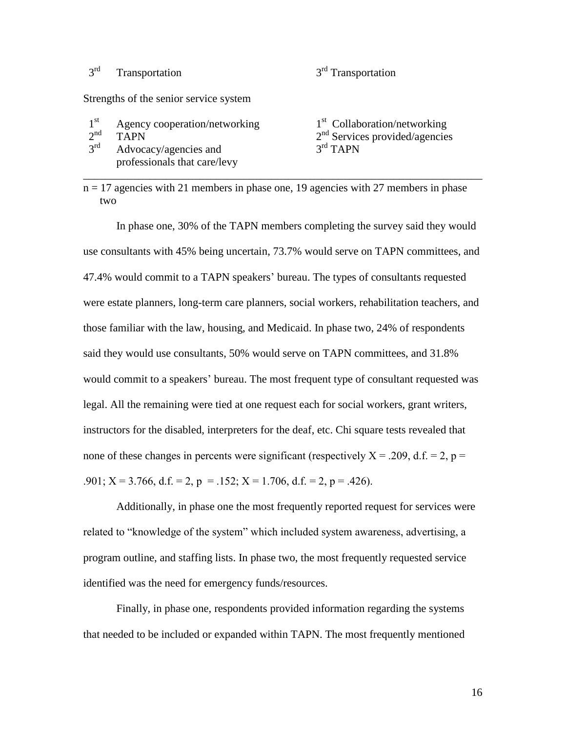#### $3^{\text{rd}}$ Transportation

# $3<sup>rd</sup>$  Transportation

Strengths of the senior service system

- $1<sup>st</sup>$ Agency cooperation/networking
- $2^{nd}$ nd TAPN 2
- $3<sup>rd</sup>$ Advocacy/agencies and professionals that care/levy

# $1<sup>st</sup>$  Collaboration/networking  $2<sup>nd</sup>$  Services provided/agencies  $3<sup>rd</sup>$  TAPN

n = 17 agencies with 21 members in phase one, 19 agencies with 27 members in phase two

\_\_\_\_\_\_\_\_\_\_\_\_\_\_\_\_\_\_\_\_\_\_\_\_\_\_\_\_\_\_\_\_\_\_\_\_\_\_\_\_\_\_\_\_\_\_\_\_\_\_\_\_\_\_\_\_\_\_\_\_\_\_\_\_\_\_\_\_\_\_\_\_

In phase one, 30% of the TAPN members completing the survey said they would use consultants with 45% being uncertain, 73.7% would serve on TAPN committees, and 47.4% would commit to a TAPN speakers" bureau. The types of consultants requested were estate planners, long-term care planners, social workers, rehabilitation teachers, and those familiar with the law, housing, and Medicaid. In phase two, 24% of respondents said they would use consultants, 50% would serve on TAPN committees, and 31.8% would commit to a speakers' bureau. The most frequent type of consultant requested was legal. All the remaining were tied at one request each for social workers, grant writers, instructors for the disabled, interpreters for the deaf, etc. Chi square tests revealed that none of these changes in percents were significant (respectively  $X = .209$ , d.f. = 2, p = .901;  $X = 3.766$ , d.f. = 2, p = .152;  $X = 1.706$ , d.f. = 2, p = .426).

Additionally, in phase one the most frequently reported request for services were related to "knowledge of the system" which included system awareness, advertising, a program outline, and staffing lists. In phase two, the most frequently requested service identified was the need for emergency funds/resources.

Finally, in phase one, respondents provided information regarding the systems that needed to be included or expanded within TAPN. The most frequently mentioned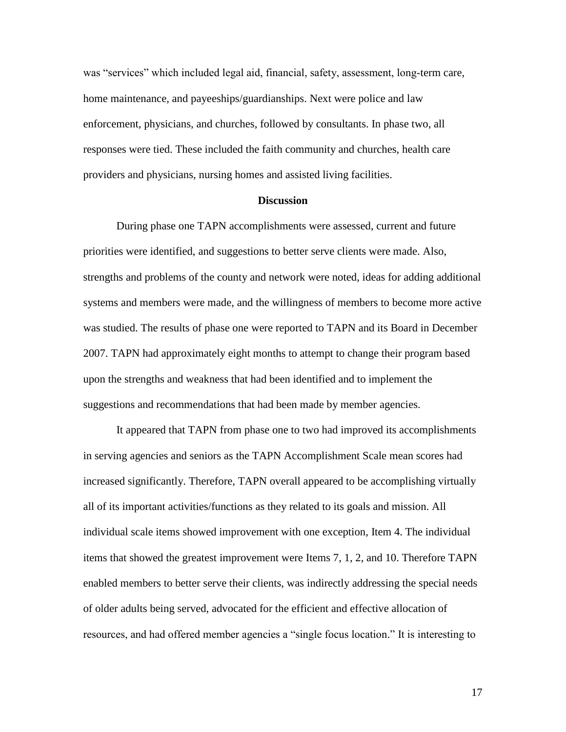was "services" which included legal aid, financial, safety, assessment, long-term care, home maintenance, and payeeships/guardianships. Next were police and law enforcement, physicians, and churches, followed by consultants. In phase two, all responses were tied. These included the faith community and churches, health care providers and physicians, nursing homes and assisted living facilities.

## **Discussion**

During phase one TAPN accomplishments were assessed, current and future priorities were identified, and suggestions to better serve clients were made. Also, strengths and problems of the county and network were noted, ideas for adding additional systems and members were made, and the willingness of members to become more active was studied. The results of phase one were reported to TAPN and its Board in December 2007. TAPN had approximately eight months to attempt to change their program based upon the strengths and weakness that had been identified and to implement the suggestions and recommendations that had been made by member agencies.

It appeared that TAPN from phase one to two had improved its accomplishments in serving agencies and seniors as the TAPN Accomplishment Scale mean scores had increased significantly. Therefore, TAPN overall appeared to be accomplishing virtually all of its important activities/functions as they related to its goals and mission. All individual scale items showed improvement with one exception, Item 4. The individual items that showed the greatest improvement were Items 7, 1, 2, and 10. Therefore TAPN enabled members to better serve their clients, was indirectly addressing the special needs of older adults being served, advocated for the efficient and effective allocation of resources, and had offered member agencies a "single focus location." It is interesting to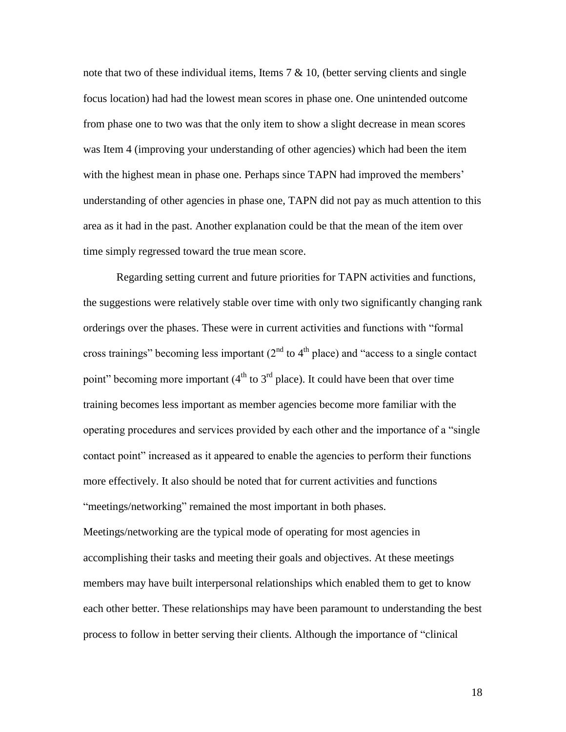note that two of these individual items, Items  $7 \& 10$ , (better serving clients and single focus location) had had the lowest mean scores in phase one. One unintended outcome from phase one to two was that the only item to show a slight decrease in mean scores was Item 4 (improving your understanding of other agencies) which had been the item with the highest mean in phase one. Perhaps since TAPN had improved the members' understanding of other agencies in phase one, TAPN did not pay as much attention to this area as it had in the past. Another explanation could be that the mean of the item over time simply regressed toward the true mean score.

Regarding setting current and future priorities for TAPN activities and functions, the suggestions were relatively stable over time with only two significantly changing rank orderings over the phases. These were in current activities and functions with "formal cross trainings" becoming less important  $(2<sup>nd</sup>$  to  $4<sup>th</sup>$  place) and "access to a single contact point" becoming more important  $(4<sup>th</sup>$  to  $3<sup>rd</sup>$  place). It could have been that over time training becomes less important as member agencies become more familiar with the operating procedures and services provided by each other and the importance of a "single contact point" increased as it appeared to enable the agencies to perform their functions more effectively. It also should be noted that for current activities and functions "meetings/networking" remained the most important in both phases.

Meetings/networking are the typical mode of operating for most agencies in accomplishing their tasks and meeting their goals and objectives. At these meetings members may have built interpersonal relationships which enabled them to get to know each other better. These relationships may have been paramount to understanding the best process to follow in better serving their clients. Although the importance of "clinical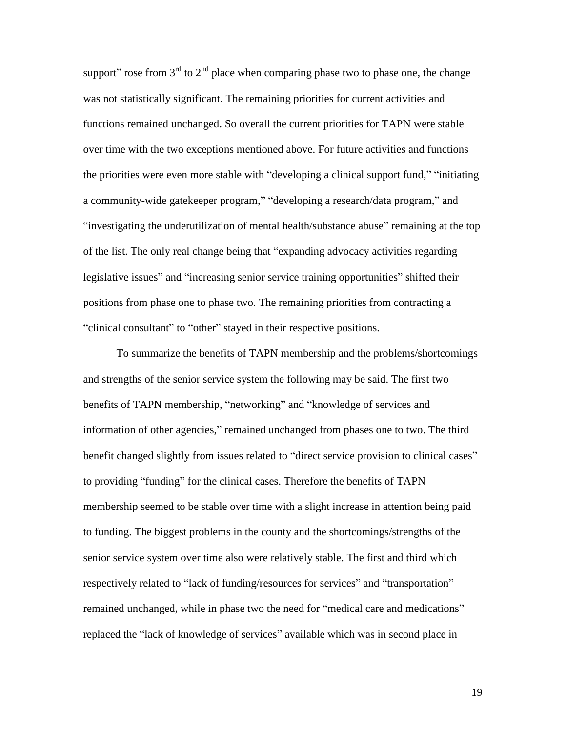support" rose from  $3<sup>rd</sup>$  to  $2<sup>nd</sup>$  place when comparing phase two to phase one, the change was not statistically significant. The remaining priorities for current activities and functions remained unchanged. So overall the current priorities for TAPN were stable over time with the two exceptions mentioned above. For future activities and functions the priorities were even more stable with "developing a clinical support fund," "initiating a community-wide gatekeeper program," "developing a research/data program," and "investigating the underutilization of mental health/substance abuse" remaining at the top of the list. The only real change being that "expanding advocacy activities regarding legislative issues" and "increasing senior service training opportunities" shifted their positions from phase one to phase two. The remaining priorities from contracting a "clinical consultant" to "other" stayed in their respective positions.

To summarize the benefits of TAPN membership and the problems/shortcomings and strengths of the senior service system the following may be said. The first two benefits of TAPN membership, "networking" and "knowledge of services and information of other agencies," remained unchanged from phases one to two. The third benefit changed slightly from issues related to "direct service provision to clinical cases" to providing "funding" for the clinical cases. Therefore the benefits of TAPN membership seemed to be stable over time with a slight increase in attention being paid to funding. The biggest problems in the county and the shortcomings/strengths of the senior service system over time also were relatively stable. The first and third which respectively related to "lack of funding/resources for services" and "transportation" remained unchanged, while in phase two the need for "medical care and medications" replaced the "lack of knowledge of services" available which was in second place in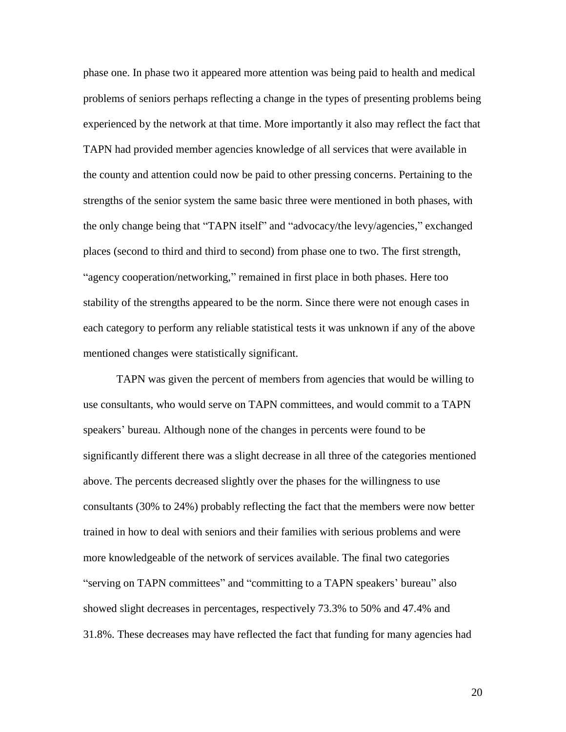phase one. In phase two it appeared more attention was being paid to health and medical problems of seniors perhaps reflecting a change in the types of presenting problems being experienced by the network at that time. More importantly it also may reflect the fact that TAPN had provided member agencies knowledge of all services that were available in the county and attention could now be paid to other pressing concerns. Pertaining to the strengths of the senior system the same basic three were mentioned in both phases, with the only change being that "TAPN itself" and "advocacy/the levy/agencies," exchanged places (second to third and third to second) from phase one to two. The first strength, "agency cooperation/networking," remained in first place in both phases. Here too stability of the strengths appeared to be the norm. Since there were not enough cases in each category to perform any reliable statistical tests it was unknown if any of the above mentioned changes were statistically significant.

TAPN was given the percent of members from agencies that would be willing to use consultants, who would serve on TAPN committees, and would commit to a TAPN speakers' bureau. Although none of the changes in percents were found to be significantly different there was a slight decrease in all three of the categories mentioned above. The percents decreased slightly over the phases for the willingness to use consultants (30% to 24%) probably reflecting the fact that the members were now better trained in how to deal with seniors and their families with serious problems and were more knowledgeable of the network of services available. The final two categories "serving on TAPN committees" and "committing to a TAPN speakers' bureau" also showed slight decreases in percentages, respectively 73.3% to 50% and 47.4% and 31.8%. These decreases may have reflected the fact that funding for many agencies had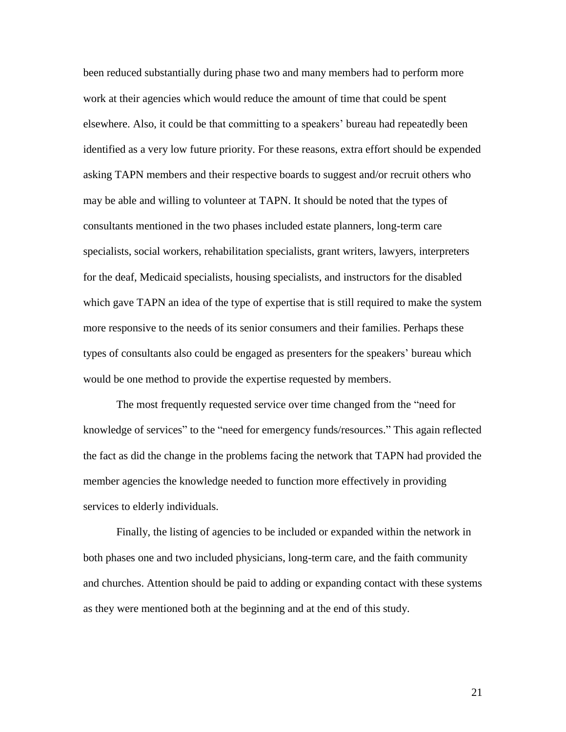been reduced substantially during phase two and many members had to perform more work at their agencies which would reduce the amount of time that could be spent elsewhere. Also, it could be that committing to a speakers" bureau had repeatedly been identified as a very low future priority. For these reasons, extra effort should be expended asking TAPN members and their respective boards to suggest and/or recruit others who may be able and willing to volunteer at TAPN. It should be noted that the types of consultants mentioned in the two phases included estate planners, long-term care specialists, social workers, rehabilitation specialists, grant writers, lawyers, interpreters for the deaf, Medicaid specialists, housing specialists, and instructors for the disabled which gave TAPN an idea of the type of expertise that is still required to make the system more responsive to the needs of its senior consumers and their families. Perhaps these types of consultants also could be engaged as presenters for the speakers" bureau which would be one method to provide the expertise requested by members.

The most frequently requested service over time changed from the "need for knowledge of services" to the "need for emergency funds/resources." This again reflected the fact as did the change in the problems facing the network that TAPN had provided the member agencies the knowledge needed to function more effectively in providing services to elderly individuals.

Finally, the listing of agencies to be included or expanded within the network in both phases one and two included physicians, long-term care, and the faith community and churches. Attention should be paid to adding or expanding contact with these systems as they were mentioned both at the beginning and at the end of this study.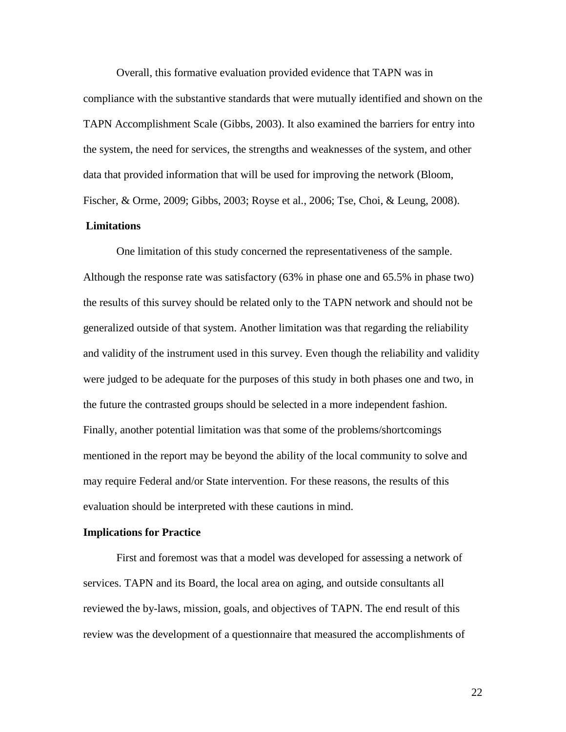Overall, this formative evaluation provided evidence that TAPN was in compliance with the substantive standards that were mutually identified and shown on the TAPN Accomplishment Scale (Gibbs, 2003). It also examined the barriers for entry into the system, the need for services, the strengths and weaknesses of the system, and other data that provided information that will be used for improving the network (Bloom, Fischer, & Orme, 2009; Gibbs, 2003; Royse et al., 2006; Tse, Choi, & Leung, 2008).

# **Limitations**

One limitation of this study concerned the representativeness of the sample. Although the response rate was satisfactory (63% in phase one and 65.5% in phase two) the results of this survey should be related only to the TAPN network and should not be generalized outside of that system. Another limitation was that regarding the reliability and validity of the instrument used in this survey. Even though the reliability and validity were judged to be adequate for the purposes of this study in both phases one and two, in the future the contrasted groups should be selected in a more independent fashion. Finally, another potential limitation was that some of the problems/shortcomings mentioned in the report may be beyond the ability of the local community to solve and may require Federal and/or State intervention. For these reasons, the results of this evaluation should be interpreted with these cautions in mind.

#### **Implications for Practice**

First and foremost was that a model was developed for assessing a network of services. TAPN and its Board, the local area on aging, and outside consultants all reviewed the by-laws, mission, goals, and objectives of TAPN. The end result of this review was the development of a questionnaire that measured the accomplishments of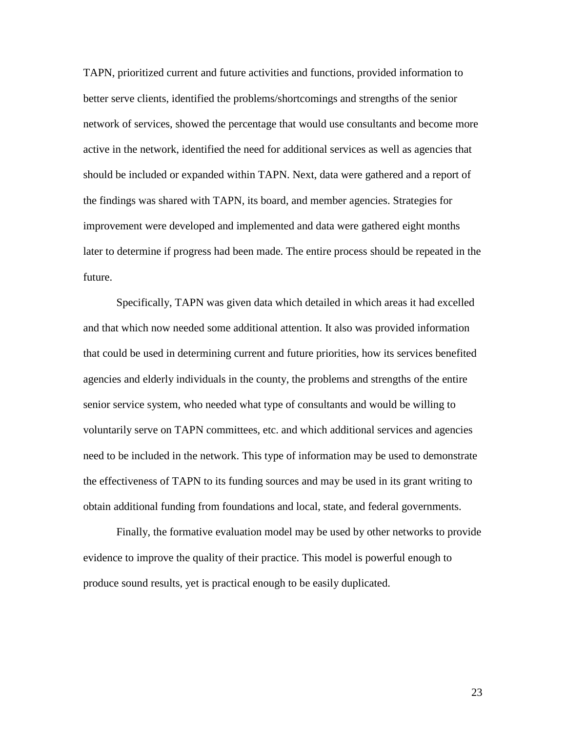TAPN, prioritized current and future activities and functions, provided information to better serve clients, identified the problems/shortcomings and strengths of the senior network of services, showed the percentage that would use consultants and become more active in the network, identified the need for additional services as well as agencies that should be included or expanded within TAPN. Next, data were gathered and a report of the findings was shared with TAPN, its board, and member agencies. Strategies for improvement were developed and implemented and data were gathered eight months later to determine if progress had been made. The entire process should be repeated in the future.

Specifically, TAPN was given data which detailed in which areas it had excelled and that which now needed some additional attention. It also was provided information that could be used in determining current and future priorities, how its services benefited agencies and elderly individuals in the county, the problems and strengths of the entire senior service system, who needed what type of consultants and would be willing to voluntarily serve on TAPN committees, etc. and which additional services and agencies need to be included in the network. This type of information may be used to demonstrate the effectiveness of TAPN to its funding sources and may be used in its grant writing to obtain additional funding from foundations and local, state, and federal governments.

Finally, the formative evaluation model may be used by other networks to provide evidence to improve the quality of their practice. This model is powerful enough to produce sound results, yet is practical enough to be easily duplicated.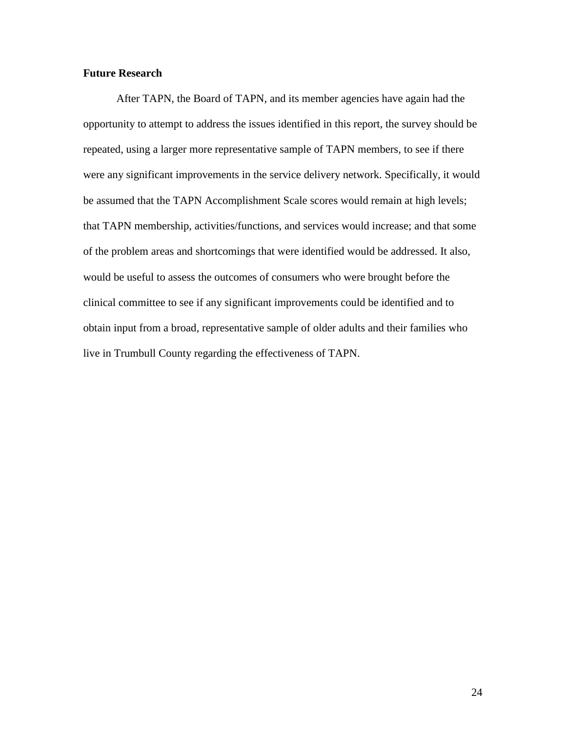# **Future Research**

After TAPN, the Board of TAPN, and its member agencies have again had the opportunity to attempt to address the issues identified in this report, the survey should be repeated, using a larger more representative sample of TAPN members, to see if there were any significant improvements in the service delivery network. Specifically, it would be assumed that the TAPN Accomplishment Scale scores would remain at high levels; that TAPN membership, activities/functions, and services would increase; and that some of the problem areas and shortcomings that were identified would be addressed. It also, would be useful to assess the outcomes of consumers who were brought before the clinical committee to see if any significant improvements could be identified and to obtain input from a broad, representative sample of older adults and their families who live in Trumbull County regarding the effectiveness of TAPN.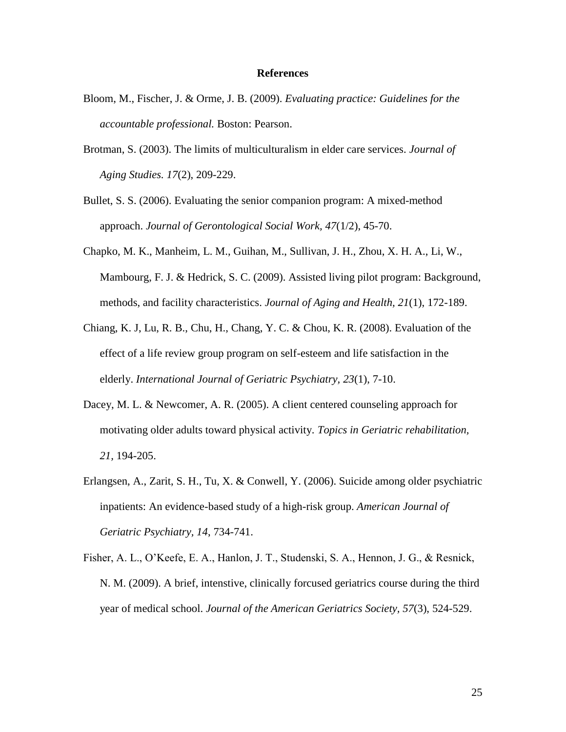## **References**

- Bloom, M., Fischer, J. & Orme, J. B. (2009). *Evaluating practice: Guidelines for the accountable professional.* Boston: Pearson.
- Brotman, S. (2003). The limits of multiculturalism in elder care services. *Journal of Aging Studies. 17*(2), 209-229.
- Bullet, S. S. (2006). Evaluating the senior companion program: A mixed-method approach. *Journal of Gerontological Social Work, 47*(1/2), 45-70.
- Chapko, M. K., Manheim, L. M., Guihan, M., Sullivan, J. H., Zhou, X. H. A., Li, W., Mambourg, F. J. & Hedrick, S. C. (2009). Assisted living pilot program: Background, methods, and facility characteristics. *Journal of Aging and Health, 21*(1), 172-189.
- Chiang, K. J, Lu, R. B., Chu, H., Chang, Y. C. & Chou, K. R. (2008). Evaluation of the effect of a life review group program on self-esteem and life satisfaction in the elderly. *International Journal of Geriatric Psychiatry, 23*(1), 7-10.
- Dacey, M. L. & Newcomer, A. R. (2005). A client centered counseling approach for motivating older adults toward physical activity. *Topics in Geriatric rehabilitation, 21,* 194-205.
- Erlangsen, A., Zarit, S. H., Tu, X. & Conwell, Y. (2006). Suicide among older psychiatric inpatients: An evidence-based study of a high-risk group. *American Journal of Geriatric Psychiatry, 14*, 734-741.
- Fisher, A. L., O"Keefe, E. A., Hanlon, J. T., Studenski, S. A., Hennon, J. G., & Resnick, N. M. (2009). A brief, intenstive, clinically forcused geriatrics course during the third year of medical school. *Journal of the American Geriatrics Society, 57*(3), 524-529.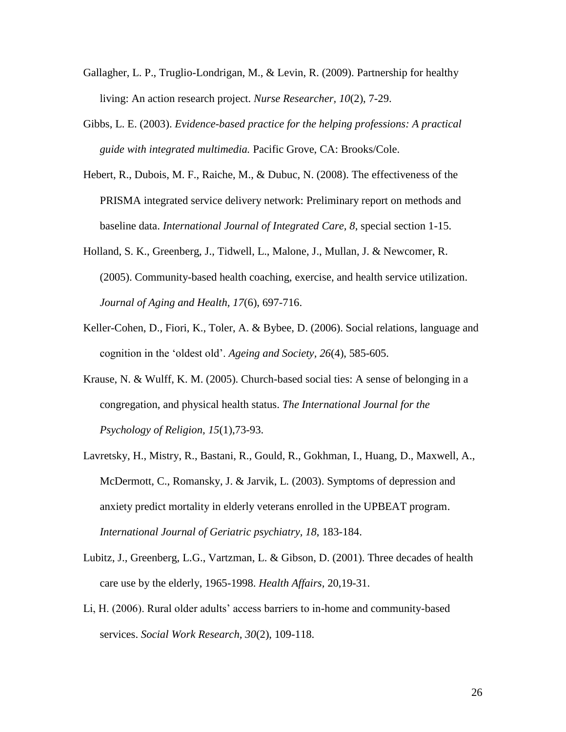- Gallagher, L. P., Truglio-Londrigan, M., & Levin, R. (2009). Partnership for healthy living: An action research project. *Nurse Researcher, 10*(2), 7-29.
- Gibbs, L. E. (2003). *Evidence-based practice for the helping professions: A practical guide with integrated multimedia.* Pacific Grove, CA: Brooks/Cole.
- Hebert, R., Dubois, M. F., Raiche, M., & Dubuc, N. (2008). The effectiveness of the PRISMA integrated service delivery network: Preliminary report on methods and baseline data. *International Journal of Integrated Care, 8*, special section 1-15.
- Holland, S. K., Greenberg, J., Tidwell, L., Malone, J., Mullan, J. & Newcomer, R. (2005). Community-based health coaching, exercise, and health service utilization. *Journal of Aging and Health, 17*(6), 697-716.
- Keller-Cohen, D., Fiori, K., Toler, A. & Bybee, D. (2006). Social relations, language and cognition in the "oldest old". *Ageing and Society, 26*(4), 585-605.
- Krause, N. & Wulff, K. M. (2005). Church-based social ties: A sense of belonging in a congregation, and physical health status. *The International Journal for the Psychology of Religion, 15*(1),73-93.
- Lavretsky, H., Mistry, R., Bastani, R., Gould, R., Gokhman, I., Huang, D., Maxwell, A., McDermott, C., Romansky, J. & Jarvik, L. (2003). Symptoms of depression and anxiety predict mortality in elderly veterans enrolled in the UPBEAT program. *International Journal of Geriatric psychiatry, 18*, 183-184.
- Lubitz, J., Greenberg, L.G., Vartzman, L. & Gibson, D. (2001). Three decades of health care use by the elderly, 1965-1998. *Health Affairs,* 20,19-31.
- Li, H. (2006). Rural older adults" access barriers to in-home and community-based services. *Social Work Research, 30*(2), 109-118.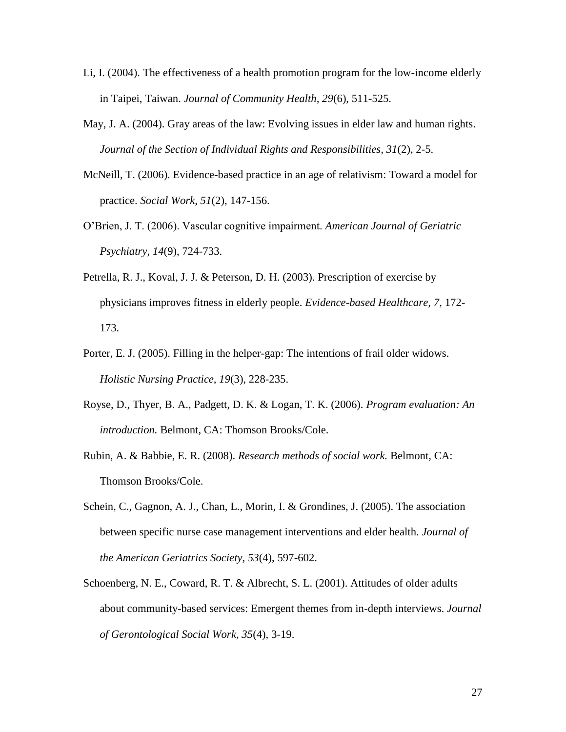- Li, I. (2004). The effectiveness of a health promotion program for the low-income elderly in Taipei, Taiwan. *Journal of Community Health, 29*(6), 511-525.
- May, J. A. (2004). Gray areas of the law: Evolving issues in elder law and human rights. *Journal of the Section of Individual Rights and Responsibilities, 31*(2), 2-5.
- McNeill, T. (2006). Evidence-based practice in an age of relativism: Toward a model for practice. *Social Work, 51*(2), 147-156.
- O"Brien, J. T. (2006). Vascular cognitive impairment. *American Journal of Geriatric Psychiatry, 14*(9), 724-733.
- Petrella, R. J., Koval, J. J. & Peterson, D. H. (2003). Prescription of exercise by physicians improves fitness in elderly people. *Evidence-based Healthcare, 7,* 172- 173.
- Porter, E. J. (2005). Filling in the helper-gap: The intentions of frail older widows. *Holistic Nursing Practice, 19*(3), 228-235.
- Royse, D., Thyer, B. A., Padgett, D. K. & Logan, T. K. (2006). *Program evaluation: An introduction.* Belmont, CA: Thomson Brooks/Cole.
- Rubin, A. & Babbie, E. R. (2008). *Research methods of social work.* Belmont, CA: Thomson Brooks/Cole.
- Schein, C., Gagnon, A. J., Chan, L., Morin, I. & Grondines, J. (2005). The association between specific nurse case management interventions and elder health. *Journal of the American Geriatrics Society, 53*(4), 597-602.
- Schoenberg, N. E., Coward, R. T. & Albrecht, S. L. (2001). Attitudes of older adults about community-based services: Emergent themes from in-depth interviews. *Journal of Gerontological Social Work, 35*(4), 3-19.